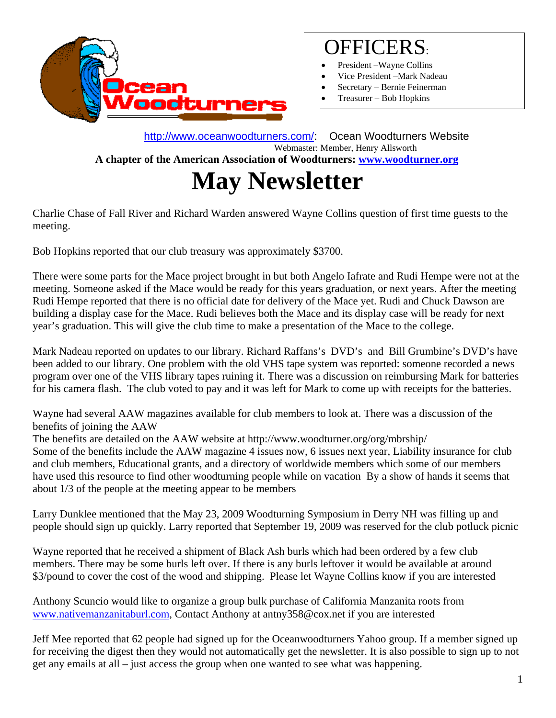

# OFFICERS:

- President Wayne Collins
- Vice President –Mark Nadeau
- Secretary Bernie Feinerman
- Treasurer Bob Hopkins

http://www.oceanwoodturners.com/: Ocean Woodturners Website<br>Webmaster: Member, Henry Allsworth  **A chapter of the American Association of Woodturners: www.woodturner.org** 

# **May Newsletter**

Charlie Chase of Fall River and Richard Warden answered Wayne Collins question of first time guests to the meeting.

Bob Hopkins reported that our club treasury was approximately \$3700.

There were some parts for the Mace project brought in but both Angelo Iafrate and Rudi Hempe were not at the meeting. Someone asked if the Mace would be ready for this years graduation, or next years. After the meeting Rudi Hempe reported that there is no official date for delivery of the Mace yet. Rudi and Chuck Dawson are building a display case for the Mace. Rudi believes both the Mace and its display case will be ready for next year's graduation. This will give the club time to make a presentation of the Mace to the college.

Mark Nadeau reported on updates to our library. Richard Raffans's DVD's and Bill Grumbine's DVD's have been added to our library. One problem with the old VHS tape system was reported: someone recorded a news program over one of the VHS library tapes ruining it. There was a discussion on reimbursing Mark for batteries for his camera flash. The club voted to pay and it was left for Mark to come up with receipts for the batteries.

Wayne had several AAW magazines available for club members to look at. There was a discussion of the benefits of joining the AAW

The benefits are detailed on the AAW website at http://www.woodturner.org/org/mbrship/

Some of the benefits include the AAW magazine 4 issues now, 6 issues next year, Liability insurance for club and club members, Educational grants, and a directory of worldwide members which some of our members have used this resource to find other woodturning people while on vacation By a show of hands it seems that about 1/3 of the people at the meeting appear to be members

Larry Dunklee mentioned that the May 23, 2009 Woodturning Symposium in Derry NH was filling up and people should sign up quickly. Larry reported that September 19, 2009 was reserved for the club potluck picnic

Wayne reported that he received a shipment of Black Ash burls which had been ordered by a few club members. There may be some burls left over. If there is any burls leftover it would be available at around \$3/pound to cover the cost of the wood and shipping. Please let Wayne Collins know if you are interested

Anthony Scuncio would like to organize a group bulk purchase of California Manzanita roots from www.nativemanzanitaburl.com, Contact Anthony at antny358@cox.net if you are interested

Jeff Mee reported that 62 people had signed up for the Oceanwoodturners Yahoo group. If a member signed up for receiving the digest then they would not automatically get the newsletter. It is also possible to sign up to not get any emails at all – just access the group when one wanted to see what was happening.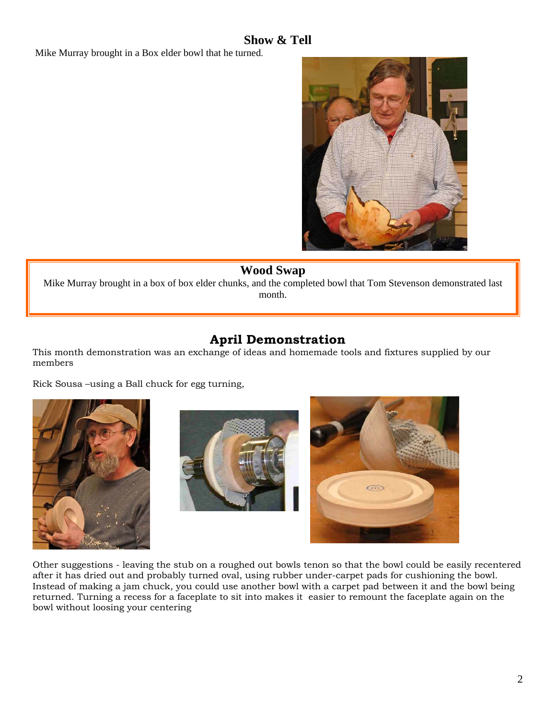### **Show & Tell**

Mike Murray brought in a Box elder bowl that he turned.



#### **Wood Swap**

Mike Murray brought in a box of box elder chunks, and the completed bowl that Tom Stevenson demonstrated last month.

## **April Demonstration**

This month demonstration was an exchange of ideas and homemade tools and fixtures supplied by our members

Rick Sousa –using a Ball chuck for egg turning,







Other suggestions - leaving the stub on a roughed out bowls tenon so that the bowl could be easily recentered after it has dried out and probably turned oval, using rubber under-carpet pads for cushioning the bowl. Instead of making a jam chuck, you could use another bowl with a carpet pad between it and the bowl being returned. Turning a recess for a faceplate to sit into makes it easier to remount the faceplate again on the bowl without loosing your centering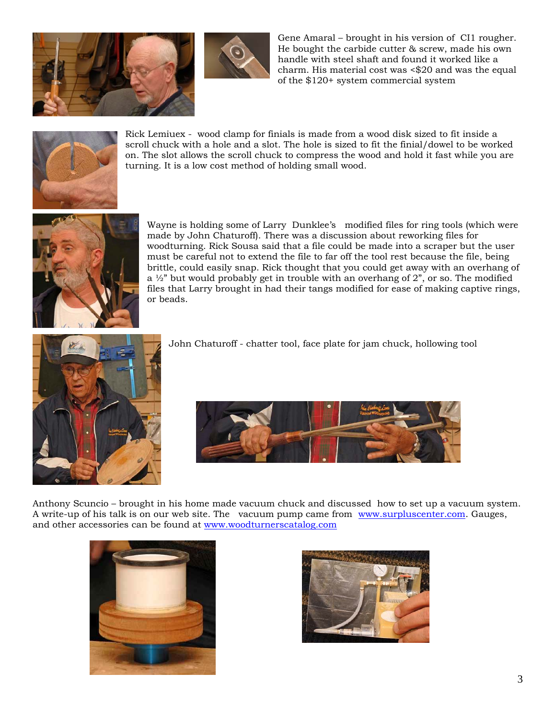



Gene Amaral – brought in his version of CI1 rougher. He bought the carbide cutter & screw, made his own handle with steel shaft and found it worked like a charm. His material cost was <\$20 and was the equal of the \$120+ system commercial system



Rick Lemiuex - wood clamp for finials is made from a wood disk sized to fit inside a scroll chuck with a hole and a slot. The hole is sized to fit the finial/dowel to be worked on. The slot allows the scroll chuck to compress the wood and hold it fast while you are turning. It is a low cost method of holding small wood.



Wayne is holding some of Larry Dunklee's modified files for ring tools (which were made by John Chaturoff). There was a discussion about reworking files for woodturning. Rick Sousa said that a file could be made into a scraper but the user must be careful not to extend the file to far off the tool rest because the file, being brittle, could easily snap. Rick thought that you could get away with an overhang of a ½" but would probably get in trouble with an overhang of 2", or so. The modified files that Larry brought in had their tangs modified for ease of making captive rings, or beads.



John Chaturoff - chatter tool, face plate for jam chuck, hollowing tool



Anthony Scuncio – brought in his home made vacuum chuck and discussed how to set up a vacuum system. A write-up of his talk is on our web site. The vacuum pump came from www.surpluscenter.com. Gauges, and other accessories can be found at www.woodturnerscatalog.com